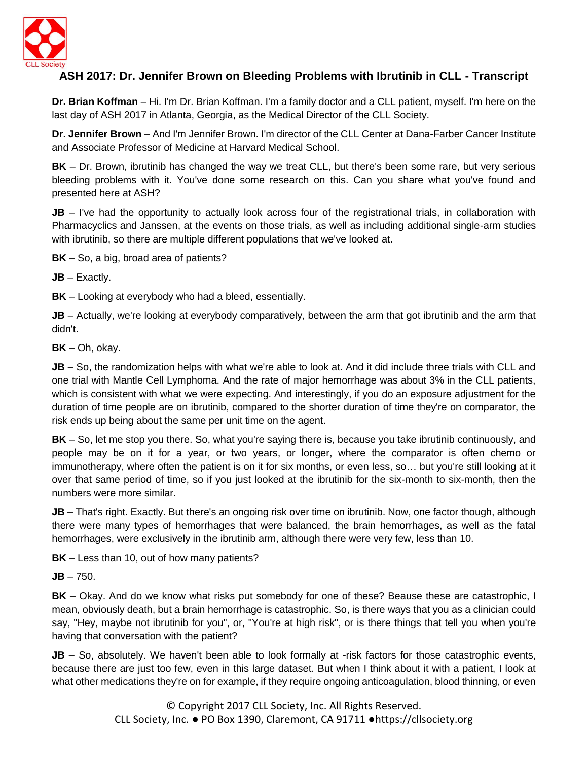

## **ASH 2017: Dr. Jennifer Brown on Bleeding Problems with Ibrutinib in CLL - Transcript**

**Dr. Brian Koffman** – Hi. I'm Dr. Brian Koffman. I'm a family doctor and a CLL patient, myself. I'm here on the last day of ASH 2017 in Atlanta, Georgia, as the Medical Director of the CLL Society.

**Dr. Jennifer Brown** – And I'm Jennifer Brown. I'm director of the CLL Center at Dana-Farber Cancer Institute and Associate Professor of Medicine at Harvard Medical School.

**BK** – Dr. Brown, ibrutinib has changed the way we treat CLL, but there's been some rare, but very serious bleeding problems with it. You've done some research on this. Can you share what you've found and presented here at ASH?

**JB** – I've had the opportunity to actually look across four of the registrational trials, in collaboration with Pharmacyclics and Janssen, at the events on those trials, as well as including additional single-arm studies with ibrutinib, so there are multiple different populations that we've looked at.

**BK** – So, a big, broad area of patients?

**JB** – Exactly.

**BK** – Looking at everybody who had a bleed, essentially.

**JB** – Actually, we're looking at everybody comparatively, between the arm that got ibrutinib and the arm that didn't.

**BK** – Oh, okay.

**JB** – So, the randomization helps with what we're able to look at. And it did include three trials with CLL and one trial with Mantle Cell Lymphoma. And the rate of major hemorrhage was about 3% in the CLL patients, which is consistent with what we were expecting. And interestingly, if you do an exposure adjustment for the duration of time people are on ibrutinib, compared to the shorter duration of time they're on comparator, the risk ends up being about the same per unit time on the agent.

**BK** – So, let me stop you there. So, what you're saying there is, because you take ibrutinib continuously, and people may be on it for a year, or two years, or longer, where the comparator is often chemo or immunotherapy, where often the patient is on it for six months, or even less, so… but you're still looking at it over that same period of time, so if you just looked at the ibrutinib for the six-month to six-month, then the numbers were more similar.

**JB** – That's right. Exactly. But there's an ongoing risk over time on ibrutinib. Now, one factor though, although there were many types of hemorrhages that were balanced, the brain hemorrhages, as well as the fatal hemorrhages, were exclusively in the ibrutinib arm, although there were very few, less than 10.

**BK** – Less than 10, out of how many patients?

**JB** – 750.

**BK** – Okay. And do we know what risks put somebody for one of these? Beause these are catastrophic, I mean, obviously death, but a brain hemorrhage is catastrophic. So, is there ways that you as a clinician could say, "Hey, maybe not ibrutinib for you", or, "You're at high risk", or is there things that tell you when you're having that conversation with the patient?

**JB** – So, absolutely. We haven't been able to look formally at -risk factors for those catastrophic events, because there are just too few, even in this large dataset. But when I think about it with a patient, I look at what other medications they're on for example, if they require ongoing anticoagulation, blood thinning, or even

> © Copyright 2017 CLL Society, Inc. All Rights Reserved. CLL Society, Inc. ● PO Box 1390, Claremont, CA 91711 ●https://cllsociety.org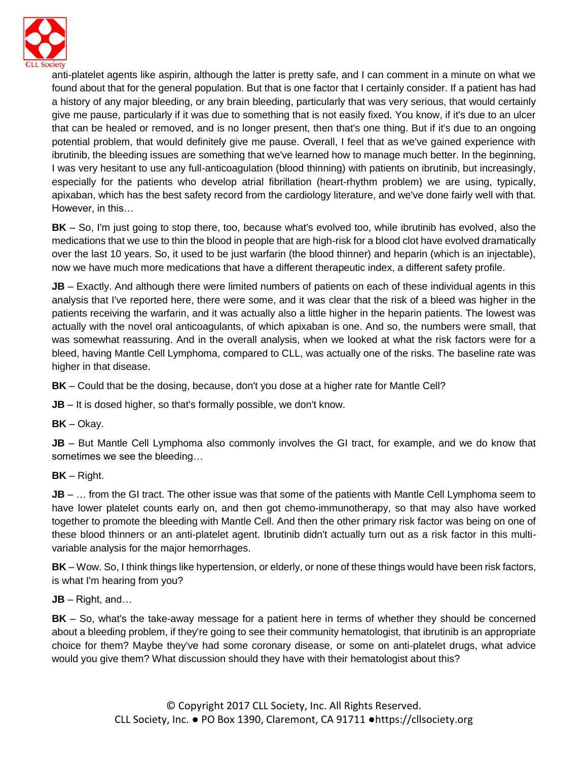

anti-platelet agents like aspirin, although the latter is pretty safe, and I can comment in a minute on what we found about that for the general population. But that is one factor that I certainly consider. If a patient has had a history of any major bleeding, or any brain bleeding, particularly that was very serious, that would certainly give me pause, particularly if it was due to something that is not easily fixed. You know, if it's due to an ulcer that can be healed or removed, and is no longer present, then that's one thing. But if it's due to an ongoing potential problem, that would definitely give me pause. Overall, I feel that as we've gained experience with ibrutinib, the bleeding issues are something that we've learned how to manage much better. In the beginning, I was very hesitant to use any full-anticoagulation (blood thinning) with patients on ibrutinib, but increasingly, especially for the patients who develop atrial fibrillation (heart-rhythm problem) we are using, typically, apixaban, which has the best safety record from the cardiology literature, and we've done fairly well with that. However, in this…

**BK** – So, I'm just going to stop there, too, because what's evolved too, while ibrutinib has evolved, also the medications that we use to thin the blood in people that are high-risk for a blood clot have evolved dramatically over the last 10 years. So, it used to be just warfarin (the blood thinner) and heparin (which is an injectable), now we have much more medications that have a different therapeutic index, a different safety profile.

**JB** – Exactly. And although there were limited numbers of patients on each of these individual agents in this analysis that I've reported here, there were some, and it was clear that the risk of a bleed was higher in the patients receiving the warfarin, and it was actually also a little higher in the heparin patients. The lowest was actually with the novel oral anticoagulants, of which apixaban is one. And so, the numbers were small, that was somewhat reassuring. And in the overall analysis, when we looked at what the risk factors were for a bleed, having Mantle Cell Lymphoma, compared to CLL, was actually one of the risks. The baseline rate was higher in that disease.

**BK** – Could that be the dosing, because, don't you dose at a higher rate for Mantle Cell?

**JB** – It is dosed higher, so that's formally possible, we don't know.

**BK** – Okay.

**JB** – But Mantle Cell Lymphoma also commonly involves the GI tract, for example, and we do know that sometimes we see the bleeding…

**BK** – Right.

**JB** – ... from the GI tract. The other issue was that some of the patients with Mantle Cell Lymphoma seem to have lower platelet counts early on, and then got chemo-immunotherapy, so that may also have worked together to promote the bleeding with Mantle Cell. And then the other primary risk factor was being on one of these blood thinners or an anti-platelet agent. Ibrutinib didn't actually turn out as a risk factor in this multivariable analysis for the major hemorrhages.

**BK** – Wow. So, I think things like hypertension, or elderly, or none of these things would have been risk factors, is what I'm hearing from you?

**JB** – Right, and…

**BK** – So, what's the take-away message for a patient here in terms of whether they should be concerned about a bleeding problem, if they're going to see their community hematologist, that ibrutinib is an appropriate choice for them? Maybe they've had some coronary disease, or some on anti-platelet drugs, what advice would you give them? What discussion should they have with their hematologist about this?